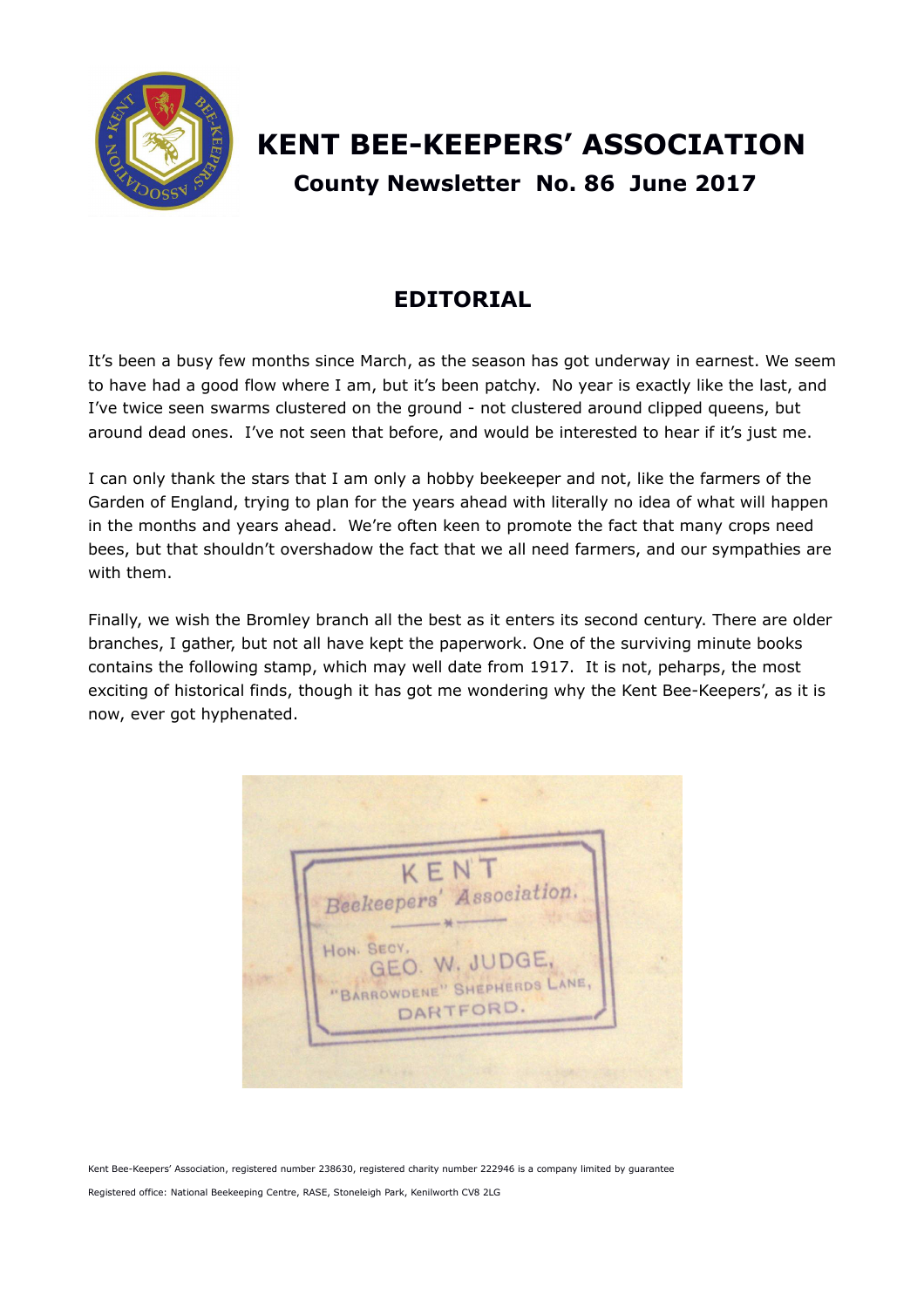

# **KENT BEE-KEEPERS' ASSOCIATION County Newsletter No. 86 June 2017**

## **EDITORIAL**

It's been a busy few months since March, as the season has got underway in earnest. We seem to have had a good flow where I am, but it's been patchy. No year is exactly like the last, and I've twice seen swarms clustered on the ground - not clustered around clipped queens, but around dead ones. I've not seen that before, and would be interested to hear if it's just me.

I can only thank the stars that I am only a hobby beekeeper and not, like the farmers of the Garden of England, trying to plan for the years ahead with literally no idea of what will happen in the months and years ahead. We're often keen to promote the fact that many crops need bees, but that shouldn't overshadow the fact that we all need farmers, and our sympathies are with them.

Finally, we wish the Bromley branch all the best as it enters its second century. There are older branches, I gather, but not all have kept the paperwork. One of the surviving minute books contains the following stamp, which may well date from 1917. It is not, peharps, the most exciting of historical finds, though it has got me wondering why the Kent Bee-Keepers', as it is now, ever got hyphenated.

KEN Beekeepers' Association. HON. SECY GEO. W. JUDGE, "BARROWDENE" SHEPHERDS LANE, DARTFORD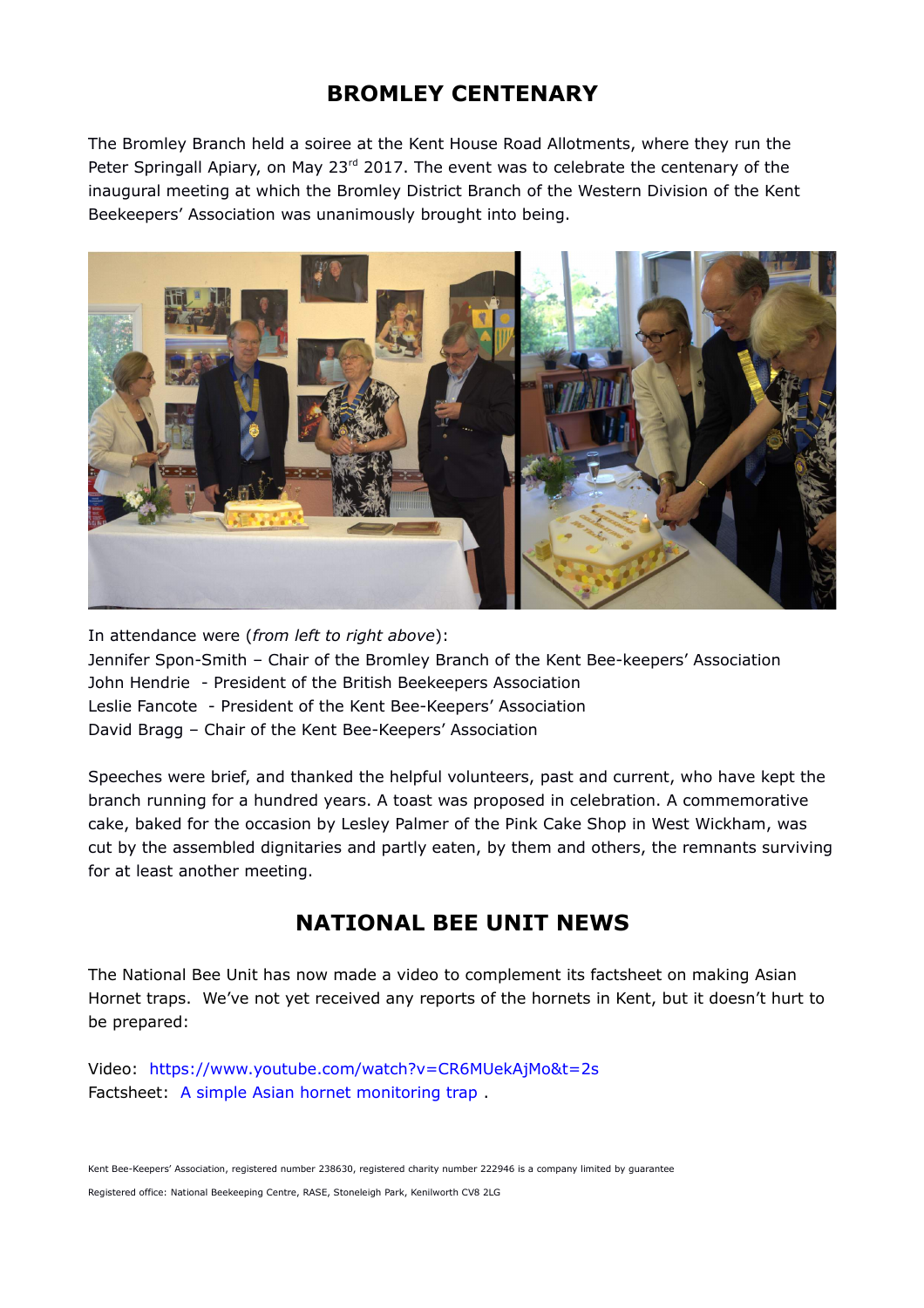## **BROMLEY CENTENARY**

The Bromley Branch held a soiree at the Kent House Road Allotments, where they run the Peter Springall Apiary, on May 23<sup>rd</sup> 2017. The event was to celebrate the centenary of the inaugural meeting at which the Bromley District Branch of the Western Division of the Kent Beekeepers' Association was unanimously brought into being.



In attendance were (*from left to right above*): Jennifer Spon-Smith – Chair of the Bromley Branch of the Kent Bee-keepers' Association John Hendrie - President of the British Beekeepers Association Leslie Fancote - President of the Kent Bee-Keepers' Association David Bragg – Chair of the Kent Bee-Keepers' Association

Speeches were brief, and thanked the helpful volunteers, past and current, who have kept the branch running for a hundred years. A toast was proposed in celebration. A commemorative cake, baked for the occasion by Lesley Palmer of the Pink Cake Shop in West Wickham, was cut by the assembled dignitaries and partly eaten, by them and others, the remnants surviving for at least another meeting.

## **NATIONAL BEE UNIT NEWS**

The National Bee Unit has now made a video to complement its factsheet on making Asian Hornet traps. We've not yet received any reports of the hornets in Kent, but it doesn't hurt to be prepared:

Video: <https://www.youtube.com/watch?v=CR6MUekAjMo&t=2s> Factsheet: [A simple Asian hornet monitoring trap](https://secure.fera.defra.gov.uk/beebase/downloadNews.cfm?id=157).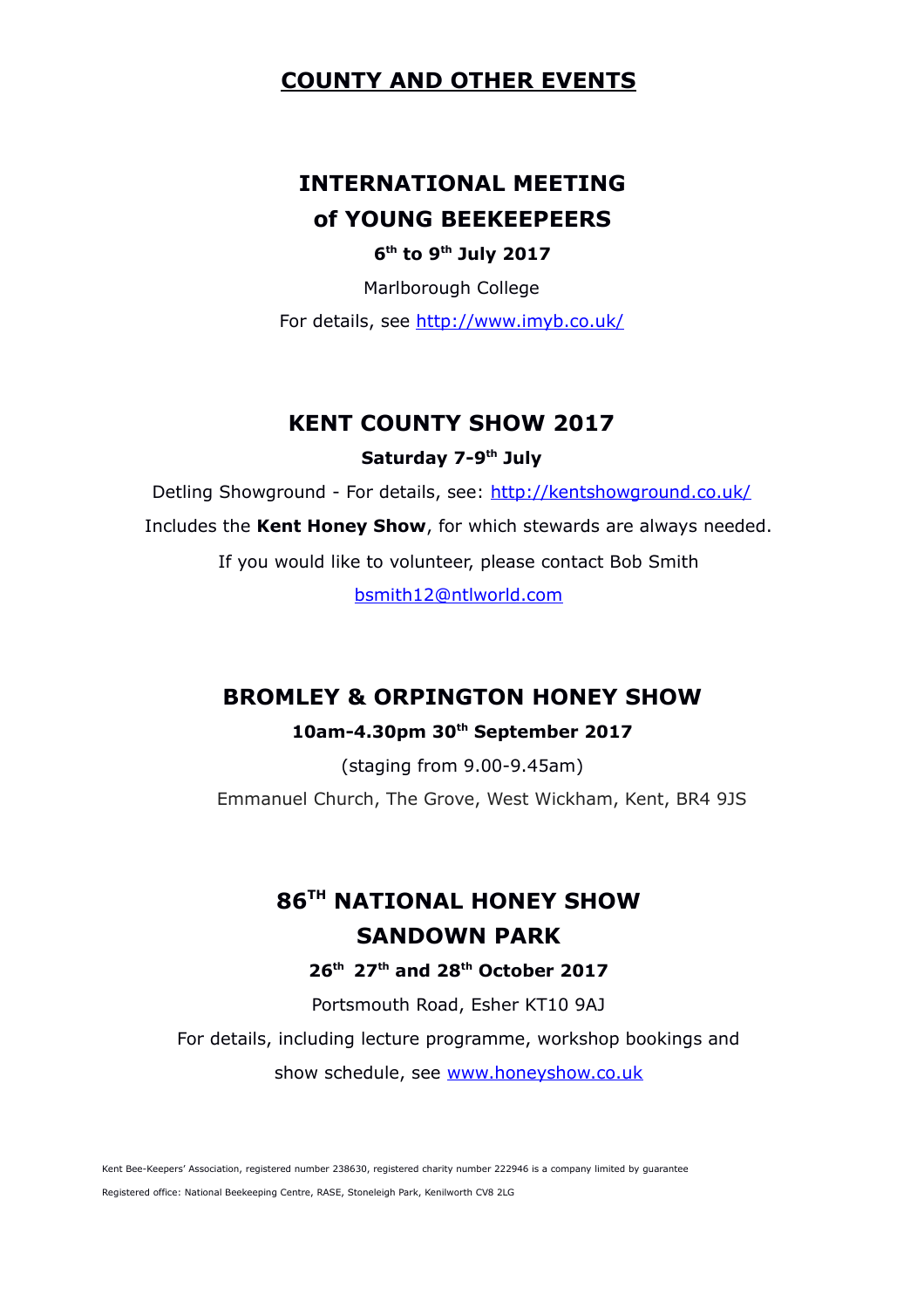### **COUNTY AND OTHER EVENTS**

## **INTERNATIONAL MEETING of YOUNG BEEKEEPEERS**

**6 th to 9th July 2017**

Marlborough College

For details, see<http://www.imyb.co.uk/>

#### **KENT COUNTY SHOW 2017**

#### **Saturday 7-9th July**

Detling Showground - For details, see:<http://kentshowground.co.uk/>

Includes the **Kent Honey Show**, for which stewards are always needed.

If you would like to volunteer, please contact Bob Smith

[bsmith12@ntlworld.com](mailto:bsmith12@ntlworld.com)

### **BROMLEY & ORPINGTON HONEY SHOW**

#### **10am-4.30pm 30th September 2017**

(staging from 9.00-9.45am) Emmanuel Church, The Grove, West Wickham, Kent, BR4 9JS

## **86TH NATIONAL HONEY SHOW SANDOWN PARK**

#### **26th 27th and 28th October 2017**

Portsmouth Road, Esher KT10 9AJ

For details, including lecture programme, workshop bookings and show schedule, see [www.honeyshow.co.uk](http://www.honeyshow.co.uk/)